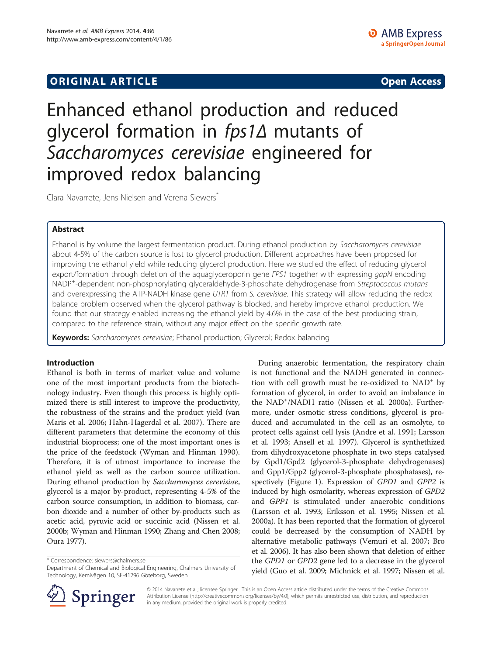## **ORIGINAL ARTICLE CONSERVANCE IN A LOCAL CONSERVANCE IN A LOCAL CONSERVANCE IN A LOCAL CONSERVANCE IN A LOCAL CONSERVANCE IN A LOCAL CONSERVANCE IN A LOCAL CONSERVANCE IN A LOCAL CONSERVANCE IN A LOCAL CONSERVANCE IN A L**

# Enhanced ethanol production and reduced glycerol formation in fps1∆ mutants of Saccharomyces cerevisiae engineered for improved redox balancing

Clara Navarrete, Jens Nielsen and Verena Siewers\*

## Abstract

Ethanol is by volume the largest fermentation product. During ethanol production by Saccharomyces cerevisiae about 4-5% of the carbon source is lost to glycerol production. Different approaches have been proposed for improving the ethanol yield while reducing glycerol production. Here we studied the effect of reducing glycerol export/formation through deletion of the aquaglyceroporin gene FPS1 together with expressing gapN encoding NADP<sup>+</sup>-dependent non-phosphorylating glyceraldehyde-3-phosphate dehydrogenase from Streptococcus mutans<br>and overexpressing the ATP-NADH kinase gene UTR1 from S cerevisine. This strategy will allow reducing the redo and overexpressing the ATP-NADH kinase gene UTR1 from S. cerevisiae. This strategy will allow reducing the redox balance problem observed when the glycerol pathway is blocked, and hereby improve ethanol production. We found that our strategy enabled increasing the ethanol yield by 4.6% in the case of the best producing strain, compared to the reference strain, without any major effect on the specific growth rate.

Keywords: Saccharomyces cerevisiae; Ethanol production; Glycerol; Redox balancing

### Introduction

Ethanol is both in terms of market value and volume one of the most important products from the biotechnology industry. Even though this process is highly optimized there is still interest to improve the productivity, the robustness of the strains and the product yield (van Maris et al. [2006;](#page-7-0) Hahn-Hagerdal et al. [2007\)](#page-6-0). There are different parameters that determine the economy of this industrial bioprocess; one of the most important ones is the price of the feedstock (Wyman and Hinman [1990](#page-7-0)). Therefore, it is of utmost importance to increase the ethanol yield as well as the carbon source utilization. During ethanol production by Saccharomyces cerevisiae, glycerol is a major by-product, representing 4-5% of the carbon source consumption, in addition to biomass, carbon dioxide and a number of other by-products such as acetic acid, pyruvic acid or succinic acid (Nissen et al. [2000b](#page-7-0); Wyman and Hinman [1990;](#page-7-0) Zhang and Chen [2008](#page-7-0); Oura [1977](#page-7-0)).

\* Correspondence: [siewers@chalmers.se](mailto:siewers@chalmers.se)

Department of Chemical and Biological Engineering, Chalmers University of Technology, Kemivägen 10, SE-41296 Göteborg, Sweden





© 2014 Navarrete et al.; licensee Springer. This is an Open Access article distributed under the terms of the Creative Commons Attribution License [\(http://creativecommons.org/licenses/by/4.0\)](http://creativecommons.org/licenses/by/4.0), which permits unrestricted use, distribution, and reproduction in any medium, provided the original work is properly credited.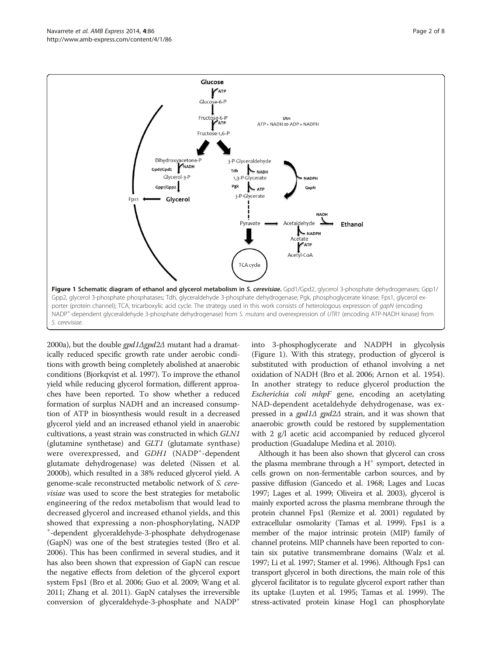<span id="page-1-0"></span>

[2000a](#page-7-0)), but the double  $gpd1\Delta gpd2\Delta$  mutant had a dramatically reduced specific growth rate under aerobic conditions with growth being completely abolished at anaerobic conditions (Bjorkqvist et al. [1997\)](#page-6-0). To improve the ethanol yield while reducing glycerol formation, different approaches have been reported. To show whether a reduced formation of surplus NADH and an increased consumption of ATP in biosynthesis would result in a decreased glycerol yield and an increased ethanol yield in anaerobic cultivations, a yeast strain was constructed in which GLN1 (glutamine synthetase) and GLT1 (glutamate synthase) were overexpressed, and GDH1 (NADP<sup>+</sup>-dependent glutamate dehydrogenase) was deleted (Nissen et al. [2000b](#page-7-0)), which resulted in a 38% reduced glycerol yield. A genome-scale reconstructed metabolic network of S. cerevisiae was used to score the best strategies for metabolic engineering of the redox metabolism that would lead to decreased glycerol and increased ethanol yields, and this showed that expressing a non-phosphorylating, NADP <sup>+</sup> -dependent glyceraldehyde-3-phosphate dehydrogenase (GapN) was one of the best strategies tested (Bro et al. [2006\)](#page-6-0). This has been confirmed in several studies, and it has also been shown that expression of GapN can rescue the negative effects from deletion of the glycerol export system Fps1 (Bro et al. [2006](#page-6-0); Guo et al. [2009;](#page-6-0) Wang et al. [2011;](#page-7-0) Zhang et al. [2011\)](#page-7-0). GapN catalyses the irreversible conversion of glyceraldehyde-3-phosphate and NADP+

into 3-phosphoglycerate and NADPH in glycolysis (Figure 1). With this strategy, production of glycerol is substituted with production of ethanol involving a net oxidation of NADH (Bro et al. [2006;](#page-6-0) Arnon et al. [1954](#page-6-0)). In another strategy to reduce glycerol production the Escherichia coli mhpF gene, encoding an acetylating NAD-dependent acetaldehyde dehydrogenase, was expressed in a  $gpd1\Delta$  gpd2 $\Delta$  strain, and it was shown that anaerobic growth could be restored by supplementation with 2 g/l acetic acid accompanied by reduced glycerol production (Guadalupe Medina et al. [2010\)](#page-6-0).

Although it has been also shown that glycerol can cross the plasma membrane through a  $H^+$  symport, detected in cells grown on non-fermentable carbon sources, and by passive diffusion (Gancedo et al. [1968;](#page-6-0) Lages and Lucas [1997;](#page-6-0) Lages et al. [1999](#page-6-0); Oliveira et al. [2003\)](#page-7-0), glycerol is mainly exported across the plasma membrane through the protein channel Fps1 (Remize et al. [2001\)](#page-7-0) regulated by extracellular osmolarity (Tamas et al. [1999](#page-7-0)). Fps1 is a member of the major intrinsic protein (MIP) family of channel proteins. MIP channels have been reported to contain six putative transmembrane domains (Walz et al. [1997;](#page-7-0) Li et al. [1997;](#page-6-0) Stamer et al. [1996\)](#page-7-0). Although Fps1 can transport glycerol in both directions, the main role of this glycerol facilitator is to regulate glycerol export rather than its uptake (Luyten et al. [1995;](#page-7-0) Tamas et al. [1999\)](#page-7-0). The stress-activated protein kinase Hog1 can phosphorylate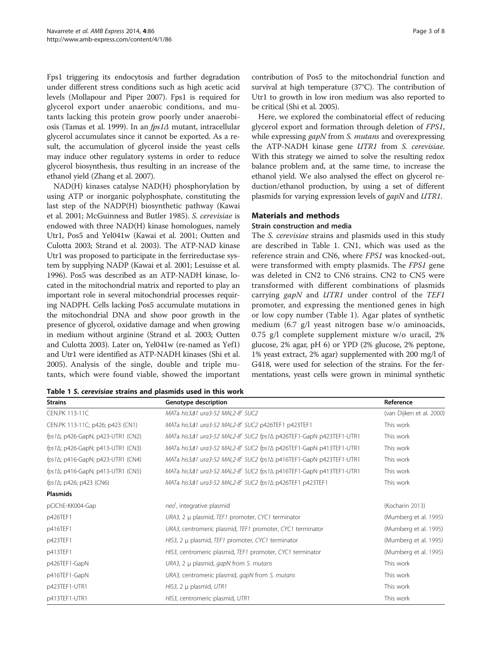Fps1 triggering its endocytosis and further degradation under different stress conditions such as high acetic acid levels (Mollapour and Piper [2007](#page-7-0)). Fps1 is required for glycerol export under anaerobic conditions, and mutants lacking this protein grow poorly under anaerobiosis (Tamas et al. [1999\)](#page-7-0). In an fps1Δ mutant, intracellular glycerol accumulates since it cannot be exported. As a result, the accumulation of glycerol inside the yeast cells may induce other regulatory systems in order to reduce glycerol biosynthesis, thus resulting in an increase of the ethanol yield (Zhang et al. [2007\)](#page-7-0).

NAD(H) kinases catalyse NAD(H) phosphorylation by using ATP or inorganic polyphosphate, constituting the last step of the NADP(H) biosynthetic pathway (Kawai et al. [2001;](#page-6-0) McGuinness and Butler [1985](#page-7-0)). S. cerevisiae is endowed with three NAD(H) kinase homologues, namely Utr1, Pos5 and Yel041w (Kawai et al. [2001;](#page-6-0) Outten and Culotta [2003;](#page-7-0) Strand et al. [2003\)](#page-7-0). The ATP-NAD kinase Utr1 was proposed to participate in the ferrireductase system by supplying NADP (Kawai et al. [2001](#page-6-0); Lesuisse et al. [1996\)](#page-6-0). Pos5 was described as an ATP-NADH kinase, located in the mitochondrial matrix and reported to play an important role in several mitochondrial processes requiring NADPH. Cells lacking Pos5 accumulate mutations in the mitochondrial DNA and show poor growth in the presence of glycerol, oxidative damage and when growing in medium without arginine (Strand et al. [2003;](#page-7-0) Outten and Culotta [2003](#page-7-0)). Later on, Yel041w (re-named as Yef1) and Utr1 were identified as ATP-NADH kinases (Shi et al. [2005\)](#page-7-0). Analysis of the single, double and triple mutants, which were found viable, showed the important

Table 1 S. cerevisiae strains and plasmids used in this work

contribution of Pos5 to the mitochondrial function and survival at high temperature (37°C). The contribution of Utr1 to growth in low iron medium was also reported to be critical (Shi et al. [2005\)](#page-7-0).

Here, we explored the combinatorial effect of reducing glycerol export and formation through deletion of FPS1, while expressing *gapN* from *S. mutans* and overexpressing the ATP-NADH kinase gene UTR1 from S. cerevisiae. With this strategy we aimed to solve the resulting redox balance problem and, at the same time, to increase the ethanol yield. We also analysed the effect on glycerol reduction/ethanol production, by using a set of different plasmids for varying expression levels of gapN and UTR1.

#### Materials and methods

#### Strain construction and media

The S. cerevisiae strains and plasmids used in this study are described in Table 1. CN1, which was used as the reference strain and CN6, where FPS1 was knocked-out, were transformed with empty plasmids. The FPS1 gene was deleted in CN2 to CN6 strains. CN2 to CN5 were transformed with different combinations of plasmids carrying gapN and UTR1 under control of the TEF1 promoter, and expressing the mentioned genes in high or low copy number (Table 1). Agar plates of synthetic medium (6.7 g/l yeast nitrogen base w/o aminoacids, 0.75 g/l complete supplement mixture w/o uracil, 2% glucose, 2% agar, pH 6) or YPD (2% glucose, 2% peptone, 1% yeast extract, 2% agar) supplemented with 200 mg/l of G418, were used for selection of the strains. For the fermentations, yeast cells were grown in minimal synthetic

| <b>Strains</b>                    | Genotype description                                                           | Reference                |  |
|-----------------------------------|--------------------------------------------------------------------------------|--------------------------|--|
| CFN.PK 113-11C                    | MATa his 3/11 ura 3-52 MAI 2-8 <sup>c</sup> SUC2                               | (van Dijken et al. 2000) |  |
| CEN.PK 113-11C; p426; p423 (CN1)  | MATa his341 ura3-52 MAL2-8 <sup>c</sup> SUC2 p426TEF1 p423TEF1                 | This work                |  |
| fps14; p426-GapN; p423-UTR1 (CN2) | MATa his341 ura3-52 MAL2-8 <sup>c</sup> SUC2 fps1∆ p426TEF1-GapN p423TEF1-UTR1 | This work                |  |
| fps14; p426-GapN; p413-UTR1 (CN3) | MATa his341 ura3-52 MAL2-8 <sup>c</sup> SUC2 fps1∆ p426TEF1-GapN p413TEF1-UTR1 | This work                |  |
| fps14; p416-GapN; p423-UTR1 (CN4) | MATa his341 ura3-52 MAL2-8 <sup>c</sup> SUC2 fps1∆ p416TEF1-GapN p423TEF1-UTR1 | This work                |  |
| fps14; p416-GapN; p413-UTR1 (CN5) | MATa his341 ura3-52 MAL2-8 <sup>c</sup> SUC2 fps1∆ p416TEF1-GapN p413TEF1-UTR1 | This work                |  |
| $fps1\Delta$ ; p426; p423 (CN6)   | MATa his341 ura3-52 MAL2-8 <sup>c</sup> SUC2 fps1∆ p426TEF1 p423TEF1           | This work                |  |
| <b>Plasmids</b>                   |                                                                                |                          |  |
| pCIChE-KK004-Gap                  | neo <sup>r</sup> , integrative plasmid                                         | (Kocharin 2013)          |  |
| p426TEF1                          | URA3, 2 $\mu$ plasmid, TEF1 promoter, CYC1 terminator                          | (Mumberg et al. 1995)    |  |
| p416TEF1                          | URA3, centromeric plasmid, TEF1 promoter, CYC1 terminator                      | (Mumberg et al. 1995)    |  |
| p423TEF1                          | HIS3, 2 $\mu$ plasmid, TEF1 promoter, CYC1 terminator                          | (Mumberg et al. 1995)    |  |
| p413TEF1                          | HIS3, centromeric plasmid, TEF1 promoter, CYC1 terminator                      | (Mumberg et al. 1995)    |  |
| p426TEF1-GapN                     | URA3, 2 µ plasmid, gapN from S. mutans                                         | This work                |  |
| p416TEF1-GapN                     | URA3, centromeric plasmid, gapN from S. mutans                                 | This work                |  |
| p423TEF1-UTR1                     | $HIS3$ , 2 µ plasmid, UTR1                                                     | This work                |  |
| p413TEF1-UTR1                     | HIS3, centromeric plasmid, UTR1                                                | This work                |  |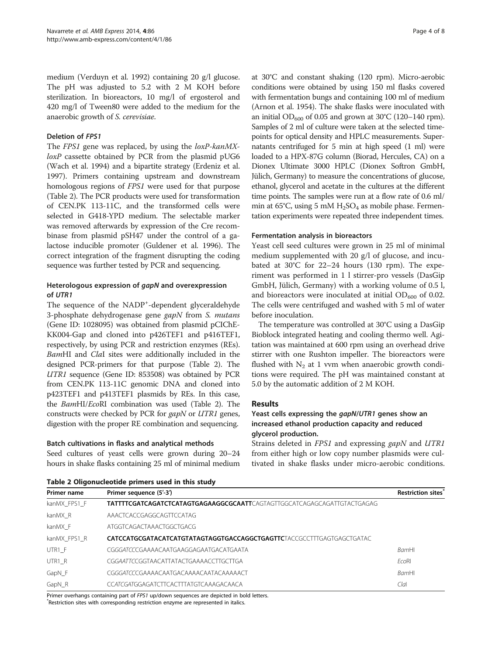medium (Verduyn et al. [1992](#page-7-0)) containing 20 g/l glucose. The pH was adjusted to 5.2 with 2 M KOH before sterilization. In bioreactors, 10 mg/l of ergosterol and 420 mg/l of Tween80 were added to the medium for the anaerobic growth of S. cerevisiae.

### Deletion of FPS1

The FPS1 gene was replaced, by using the *loxP-kanMX*loxP cassette obtained by PCR from the plasmid pUG6 (Wach et al. [1994](#page-7-0)) and a bipartite strategy (Erdeniz et al. [1997\)](#page-6-0). Primers containing upstream and downstream homologous regions of FPS1 were used for that purpose (Table 2). The PCR products were used for transformation of CEN.PK 113-11C, and the transformed cells were selected in G418-YPD medium. The selectable marker was removed afterwards by expression of the Cre recombinase from plasmid pSH47 under the control of a galactose inducible promoter (Guldener et al. [1996](#page-6-0)). The correct integration of the fragment disrupting the coding sequence was further tested by PCR and sequencing.

## Heterologous expression of gapN and overexpression of UTR1

The sequence of the NADP<sup>+</sup>-dependent glyceraldehyde 3-phosphate dehydrogenase gene gapN from S. mutans (Gene ID: 1028095) was obtained from plasmid pCIChE-KK004-Gap and cloned into p426TEF1 and p416TEF1, respectively, by using PCR and restriction enzymes (REs). BamHI and ClaI sites were additionally included in the designed PCR-primers for that purpose (Table 2). The UTR1 sequence (Gene ID: 853508) was obtained by PCR from CEN.PK 113-11C genomic DNA and cloned into p423TEF1 and p413TEF1 plasmids by REs. In this case, the BamHI/EcoRI combination was used (Table 2). The constructs were checked by PCR for gapN or UTR1 genes, digestion with the proper RE combination and sequencing.

### Batch cultivations in flasks and analytical methods

Seed cultures of yeast cells were grown during 20–24 hours in shake flasks containing 25 ml of minimal medium

at 30°C and constant shaking (120 rpm). Micro-aerobic conditions were obtained by using 150 ml flasks covered with fermentation bungs and containing 100 ml of medium (Arnon et al. [1954](#page-6-0)). The shake flasks were inoculated with an initial  $OD_{600}$  of 0.05 and grown at 30°C (120–140 rpm). Samples of 2 ml of culture were taken at the selected timepoints for optical density and HPLC measurements. Supernatants centrifuged for 5 min at high speed (1 ml) were loaded to a HPX-87G column (Biorad, Hercules, CA) on a Dionex Ultimate 3000 HPLC (Dionex Softron GmbH, Jülich, Germany) to measure the concentrations of glucose, ethanol, glycerol and acetate in the cultures at the different time points. The samples were run at a flow rate of 0.6 ml/ min at  $65^{\circ}$ C, using 5 mM  $H_2$ SO<sub>4</sub> as mobile phase. Fermentation experiments were repeated three independent times.

### Fermentation analysis in bioreactors

Yeast cell seed cultures were grown in 25 ml of minimal medium supplemented with 20 g/l of glucose, and incubated at 30°C for 22–24 hours (130 rpm). The experiment was performed in 1 l stirrer-pro vessels (DasGip GmbH, Jülich, Germany) with a working volume of 0.5 l, and bioreactors were inoculated at initial  $OD_{600}$  of 0.02. The cells were centrifuged and washed with 5 ml of water before inoculation.

The temperature was controlled at 30°C using a DasGip Bioblock integrated heating and cooling thermo well. Agitation was maintained at 600 rpm using an overhead drive stirrer with one Rushton impeller. The bioreactors were flushed with  $N_2$  at 1 vvm when anaerobic growth conditions were required. The pH was maintained constant at 5.0 by the automatic addition of 2 M KOH.

## Results

## Yeast cells expressing the gapN/UTR1 genes show an increased ethanol production capacity and reduced glycerol production.

Strains deleted in FPS1 and expressing gapN and UTR1 from either high or low copy number plasmids were cultivated in shake flasks under micro-aerobic conditions.

| <b>Primer name</b> | Primer sequence (5'-3')                                                         |              |  |  |  |
|--------------------|---------------------------------------------------------------------------------|--------------|--|--|--|
| kanMX FPS1 F       | <b>TATTTTCGATCAGATCTCATAGTGAGAAGGCGCAATT</b> CAGTAGTTGGCATCAGAGCAGATTGTACTGAGAG |              |  |  |  |
| kanMX R            | AAACTCACCGAGGCAGTTCCATAG                                                        |              |  |  |  |
| kanMX F            | ATGGTCAGACTAAACTGGCTGACG                                                        |              |  |  |  |
| kanMX FPS1 R       |                                                                                 |              |  |  |  |
| UTR1 F             | CGGGATCCCGAAAACAATGAAGGAGAATGACATGAATA                                          | <b>BamHI</b> |  |  |  |
| UTR1 R             | CGGAATTCCGGTAACATTATACTGAAAACCTTGCTTGA                                          | FroRI        |  |  |  |
| GapN_F             | CGGGATCCCGAAAACAATGACAAAACAATACAAAAACT                                          | <b>BamHI</b> |  |  |  |
| GapN_R             | CCATCGATGGAGATCTTCACTTTATGTCAAAGACAACA                                          | Clal         |  |  |  |

Primer overhangs containing part of FPS1 up/down sequences are depicted in bold letters. Restriction sites with corresponding restriction enzyme are represented in italics.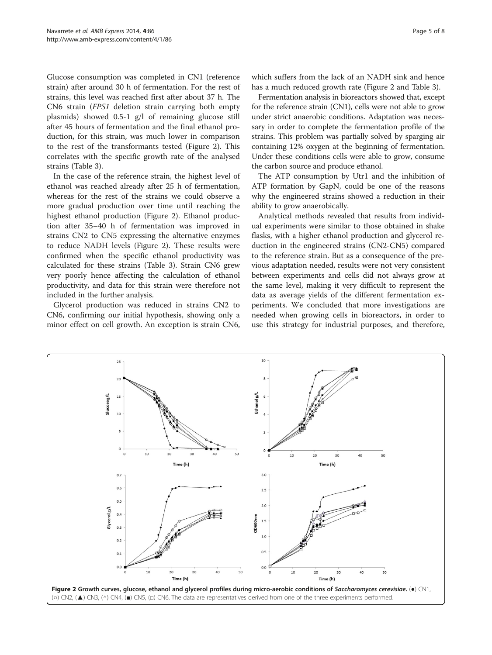<span id="page-4-0"></span>Glucose consumption was completed in CN1 (reference strain) after around 30 h of fermentation. For the rest of strains, this level was reached first after about 37 h. The CN6 strain (FPS1 deletion strain carrying both empty plasmids) showed 0.5-1 g/l of remaining glucose still after 45 hours of fermentation and the final ethanol production, for this strain, was much lower in comparison to the rest of the transformants tested (Figure 2). This correlates with the specific growth rate of the analysed strains (Table [3\)](#page-5-0).

In the case of the reference strain, the highest level of ethanol was reached already after 25 h of fermentation, whereas for the rest of the strains we could observe a more gradual production over time until reaching the highest ethanol production (Figure 2). Ethanol production after 35–40 h of fermentation was improved in strains CN2 to CN5 expressing the alternative enzymes to reduce NADH levels (Figure 2). These results were confirmed when the specific ethanol productivity was calculated for these strains (Table [3](#page-5-0)). Strain CN6 grew very poorly hence affecting the calculation of ethanol productivity, and data for this strain were therefore not included in the further analysis.

Glycerol production was reduced in strains CN2 to CN6, confirming our initial hypothesis, showing only a minor effect on cell growth. An exception is strain CN6,

Fermentation analysis in bioreactors showed that, except for the reference strain (CN1), cells were not able to grow under strict anaerobic conditions. Adaptation was necessary in order to complete the fermentation profile of the strains. This problem was partially solved by sparging air containing 12% oxygen at the beginning of fermentation. Under these conditions cells were able to grow, consume the carbon source and produce ethanol.

The ATP consumption by Utr1 and the inhibition of ATP formation by GapN, could be one of the reasons why the engineered strains showed a reduction in their ability to grow anaerobically.

Analytical methods revealed that results from individual experiments were similar to those obtained in shake flasks, with a higher ethanol production and glycerol reduction in the engineered strains (CN2-CN5) compared to the reference strain. But as a consequence of the previous adaptation needed, results were not very consistent between experiments and cells did not always grow at the same level, making it very difficult to represent the data as average yields of the different fermentation experiments. We concluded that more investigations are needed when growing cells in bioreactors, in order to use this strategy for industrial purposes, and therefore,

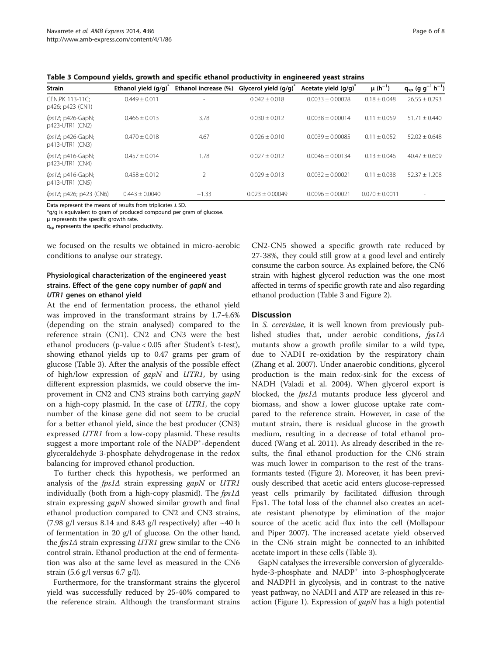<span id="page-5-0"></span>Table 3 Compound yields, growth and specific ethanol productivity in engineered yeast strains

| <b>Strain</b>                                 | Ethanol yield $(g/q)^{n}$ | Ethanol increase (%)     | Glycerol yield $(q/q)^{n}$ | Acetate yield $(q/q)^{n}$ | $\mu(h^{-1})$    | $q_{sp}$ (g g <sup>-1</sup> h <sup>-1</sup> ) |
|-----------------------------------------------|---------------------------|--------------------------|----------------------------|---------------------------|------------------|-----------------------------------------------|
| CEN.PK 113-11C:<br>p426; p423 (CN1)           | $0.449 + 0.011$           | $\overline{\phantom{a}}$ | $0.042 + 0.018$            | $0.0033 + 0.00028$        | $0.18 + 0.048$   | $26.55 + 0.293$                               |
| fps1 $\Delta$ ; p426-GapN;<br>p423-UTR1 (CN2) | $0.466 + 0.013$           | 3.78                     | $0.030 + 0.012$            | $0.0038 + 0.00014$        | $0.11 + 0.059$   | $51.71 + 0.440$                               |
| fps1 $\Delta$ ; p426-GapN;<br>p413-UTR1 (CN3) | $0.470 + 0.018$           | 4.67                     | $0.026 + 0.010$            | $0.0039 + 0.00085$        | $0.11 + 0.052$   | $52.02 + 0.648$                               |
| fps1 $\Delta$ ; p416-GapN;<br>p423-UTR1 (CN4) | $0.457 + 0.014$           | 1.78                     | $0.027 + 0.012$            | $0.0046 \pm 0.00134$      | $0.13 + 0.046$   | $40.47 + 0.609$                               |
| fps1 $\Delta$ ; p416-GapN;<br>p413-UTR1 (CN5) | $0.458 + 0.012$           |                          | $0.029 + 0.013$            | $0.0032 + 0.00021$        | $0.11 + 0.038$   | $52.37 + 1.208$                               |
| $fps1\Delta$ ; p426; p423 (CN6)               | $0.443 + 0.0040$          | $-1.33$                  | $0.023 \pm 0.00049$        | $0.0096 + 0.00021$        | $0.070 + 0.0011$ | $\overline{\phantom{a}}$                      |

Data represent the means of results from triplicates  $\pm$  SD.

\*g/g is equivalent to gram of produced compound per gram of glucose.

μ represents the specific growth rate.

 $q_{sp}$  represents the specific ethanol productivity.

we focused on the results we obtained in micro-aerobic conditions to analyse our strategy.

## Physiological characterization of the engineered yeast strains. Effect of the gene copy number of gapN and UTR1 genes on ethanol yield

At the end of fermentation process, the ethanol yield was improved in the transformant strains by 1.7-4.6% (depending on the strain analysed) compared to the reference strain (CN1). CN2 and CN3 were the best ethanol producers (p-value < 0.05 after Student's t-test), showing ethanol yields up to 0.47 grams per gram of glucose (Table 3). After the analysis of the possible effect of high/low expression of  $\frac{gapN}{}$  and  $\frac{UTR1}{}$ , by using different expression plasmids, we could observe the improvement in CN2 and CN3 strains both carrying gapN on a high-copy plasmid. In the case of  $UTR1$ , the copy number of the kinase gene did not seem to be crucial for a better ethanol yield, since the best producer (CN3) expressed UTR1 from a low-copy plasmid. These results suggest a more important role of the NADP<sup>+</sup>-dependent glyceraldehyde 3-phosphate dehydrogenase in the redox balancing for improved ethanol production.

To further check this hypothesis, we performed an analysis of the  $fps1\Delta$  strain expressing gapN or UTR1 individually (both from a high-copy plasmid). The  $fps1\Delta$ strain expressing *gapN* showed similar growth and final ethanol production compared to CN2 and CN3 strains, (7.98 g/l versus 8.14 and 8.43 g/l respectively) after  $\sim$ 40 h of fermentation in 20 g/l of glucose. On the other hand, the  $fps1\Delta$  strain expressing UTR1 grew similar to the CN6 control strain. Ethanol production at the end of fermentation was also at the same level as measured in the CN6 strain (5.6 g/l versus 6.7 g/l).

Furthermore, for the transformant strains the glycerol yield was successfully reduced by 25-40% compared to the reference strain. Although the transformant strains

CN2-CN5 showed a specific growth rate reduced by 27-38%, they could still grow at a good level and entirely consume the carbon source. As explained before, the CN6 strain with highest glycerol reduction was the one most affected in terms of specific growth rate and also regarding ethanol production (Table 3 and Figure [2](#page-4-0)).

#### **Discussion**

In S. cerevisiae, it is well known from previously published studies that, under aerobic conditions, fps1Δ mutants show a growth profile similar to a wild type, due to NADH re-oxidation by the respiratory chain (Zhang et al. [2007](#page-7-0)). Under anaerobic conditions, glycerol production is the main redox-sink for the excess of NADH (Valadi et al. [2004](#page-7-0)). When glycerol export is blocked, the *fps1*∆ mutants produce less glycerol and biomass, and show a lower glucose uptake rate compared to the reference strain. However, in case of the mutant strain, there is residual glucose in the growth medium, resulting in a decrease of total ethanol produced (Wang et al. [2011\)](#page-7-0). As already described in the results, the final ethanol production for the CN6 strain was much lower in comparison to the rest of the transformants tested (Figure [2\)](#page-4-0). Moreover, it has been previously described that acetic acid enters glucose-repressed yeast cells primarily by facilitated diffusion through Fps1. The total loss of the channel also creates an acetate resistant phenotype by elimination of the major source of the acetic acid flux into the cell (Mollapour and Piper [2007](#page-7-0)). The increased acetate yield observed in the CN6 strain might be connected to an inhibited acetate import in these cells (Table 3).

GapN catalyses the irreversible conversion of glyceraldehyde-3-phosphate and NADP<sup>+</sup> into 3-phosphoglycerate and NADPH in glycolysis, and in contrast to the native yeast pathway, no NADH and ATP are released in this re-action (Figure [1\)](#page-1-0). Expression of  $\frac{gapN}{}$  has a high potential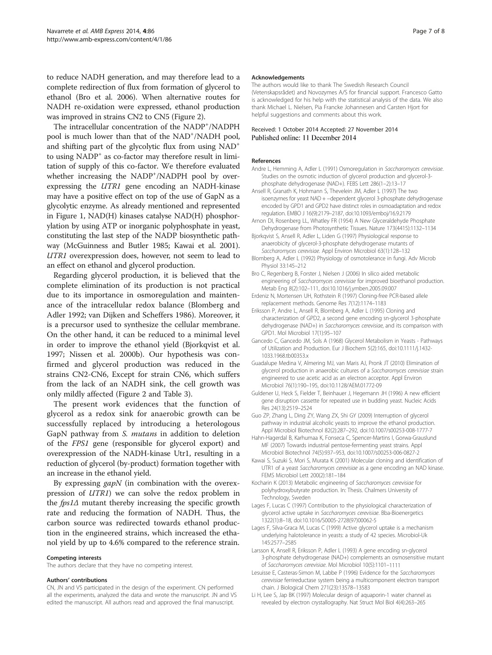<span id="page-6-0"></span>to reduce NADH generation, and may therefore lead to a complete redirection of flux from formation of glycerol to ethanol (Bro et al. 2006). When alternative routes for NADH re-oxidation were expressed, ethanol production was improved in strains CN2 to CN5 (Figure [2\)](#page-4-0).

The intracellular concentration of the NADP<sup>+</sup>/NADPH pool is much lower than that of the NAD<sup>+</sup>/NADH pool, and shifting part of the glycolytic flux from using NAD<sup>+</sup> to using NADP<sup>+</sup> as co-factor may therefore result in limitation of supply of this co-factor. We therefore evaluated whether increasing the NADP<sup>+</sup>/NADPH pool by overexpressing the UTR1 gene encoding an NADH-kinase may have a positive effect on top of the use of GapN as a glycolytic enzyme. As already mentioned and represented in Figure [1](#page-1-0), NAD(H) kinases catalyse NAD(H) phosphorylation by using ATP or inorganic polyphosphate in yeast, constituting the last step of the NADP biosynthetic pathway (McGuinness and Butler [1985;](#page-7-0) Kawai et al. 2001). UTR1 overexpression does, however, not seem to lead to an effect on ethanol and glycerol production.

Regarding glycerol production, it is believed that the complete elimination of its production is not practical due to its importance in osmoregulation and maintenance of the intracellular redox balance (Blomberg and Adler 1992; van Dijken and Scheffers [1986](#page-7-0)). Moreover, it is a precursor used to synthesize the cellular membrane. On the other hand, it can be reduced to a minimal level in order to improve the ethanol yield (Bjorkqvist et al. 1997; Nissen et al. [2000b\)](#page-7-0). Our hypothesis was confirmed and glycerol production was reduced in the strains CN2-CN6, Except for strain CN6, which suffers from the lack of an NADH sink, the cell growth was only mildly affected (Figure [2](#page-4-0) and Table [3\)](#page-5-0).

The present work evidences that the function of glycerol as a redox sink for anaerobic growth can be successfully replaced by introducing a heterologous GapN pathway from S. mutans in addition to deletion of the FPS1 gene (responsible for glycerol export) and overexpression of the NADH-kinase Utr1, resulting in a reduction of glycerol (by-product) formation together with an increase in the ethanol yield.

By expressing *gapN* (in combination with the overexpression of UTR1) we can solve the redox problem in the *fps1*∆ mutant thereby increasing the specific growth rate and reducing the formation of NADH. Thus, the carbon source was redirected towards ethanol production in the engineered strains, which increased the ethanol yield by up to 4.6% compared to the reference strain.

#### Competing interests

The authors declare that they have no competing interest.

#### Authors' contributions

CN, JN and VS participated in the design of the experiment. CN performed all the experiments, analyzed the data and wrote the manuscript. JN and VS edited the manuscript. All authors read and approved the final manuscript.

#### Acknowledgements

The authors would like to thank The Swedish Research Council (Vetenskapsrådet) and Novozymes A/S for financial support. Francesco Gatto is acknowledged for his help with the statistical analysis of the data. We also thank Michael L. Nielsen, Pia Francke Johannesen and Carsten Hjort for helpful suggestions and comments about this work.

#### Received: 1 October 2014 Accepted: 27 November 2014 Published online: 11 December 2014

#### References

- Andre L, Hemming A, Adler L (1991) Osmoregulation in Saccharomyces cerevisiae. Studies on the osmotic induction of glycerol production and glycerol-3 phosphate dehydrogenase (NAD+). FEBS Lett 286(1–2):13–17
- Ansell R, Granath K, Hohmann S, Thevelein JM, Adler L (1997) The two isoenzymes for yeast NAD + −dependent glycerol 3-phosphate dehydrogenase encoded by GPD1 and GPD2 have distinct roles in osmoadaptation and redox regulation. EMBO J 16(9):2179–2187, doi:10.1093/emboj/16.9.2179
- Arnon DI, Rosenberg LL, Whatley FR (1954) A New Glyceraldehyde Phosphate Dehydrogenase from Photosynthetic Tissues. Nature 173(4415):1132–1134
- Bjorkqvist S, Ansell R, Adler L, Liden G (1997) Physiological response to anaerobicity of glycerol-3-phosphate dehydrogenase mutants of Saccharomyces cerevisiae. Appl Environ Microbiol 63(1):128–<sup>132</sup>
- Blomberg A, Adler L (1992) Physiology of osmotolerance in fungi. Adv Microb Physiol 33:145–212
- Bro C, Regenberg B, Forster J, Nielsen J (2006) In silico aided metabolic engineering of Saccharomyces cerevisiae for improved bioethanol production. Metab Eng 8(2):102–111, doi:10.1016/j.ymben.2005.09.007
- Erdeniz N, Mortensen UH, Rothstein R (1997) Cloning-free PCR-based allele replacement methods. Genome Res 7(12):1174–1183
- Eriksson P, Andre L, Ansell R, Blomberg A, Adler L (1995) Cloning and characterization of GPD2, a second gene encoding sn-glycerol 3-phosphate dehydrogenase (NAD+) in Saccharomyces cerevisiae, and its comparison with GPD1. Mol Microbiol 17(1):95–107
- Gancedo C, Gancedo JM, Sols A (1968) Glycerol Metabolism in Yeasts Pathways of Utilization and Production. Eur J Biochem 5(2):165, doi:10.1111/j.1432- 1033.1968.tb00353.x
- Guadalupe Medina V, Almering MJ, van Maris AJ, Pronk JT (2010) Elimination of glycerol production in anaerobic cultures of a Saccharomyces cerevisiae strain engineered to use acetic acid as an electron acceptor. Appl Environ Microbiol 76(1):190–195, doi:10.1128/AEM.01772-09
- Guldener U, Heck S, Fielder T, Beinhauer J, Hegemann JH (1996) A new efficient gene disruption cassette for repeated use in budding yeast. Nucleic Acids Res 24(13):2519–2524
- Guo ZP, Zhang L, Ding ZY, Wang ZX, Shi GY (2009) Interruption of glycerol pathway in industrial alcoholic yeasts to improve the ethanol production. Appl Microbiol Biotechnol 82(2):287–292, doi:10.1007/s00253-008-1777-7
- Hahn-Hagerdal B, Karhumaa K, Fonseca C, Spencer-Martins I, Gorwa-Grauslund MF (2007) Towards industrial pentose-fermenting yeast strains. Appl Microbiol Biotechnol 74(5):937–953, doi:10.1007/s00253-006-0827-2
- Kawai S, Suzuki S, Mori S, Murata K (2001) Molecular cloning and identification of UTR1 of a yeast Saccharomyces cerevisiae as a gene encoding an NAD kinase. FEMS Microbiol Lett 200(2):181–184
- Kocharin K (2013) Metabolic engineering of Saccharomyces cerevisiae for polyhydroxybutyrate production. In: Thesis. Chalmers University of Technology, Sweden
- Lages F, Lucas C (1997) Contribution to the physiological characterization of glycerol active uptake in Saccharomyces cerevisiae. Bba-Bioenergetics 1322(1):8–18, doi:10.1016/S0005-2728(97)00062-5
- Lages F, Silva-Graca M, Lucas C (1999) Active glycerol uptake is a mechanism underlying halotolerance in yeasts: a study of 42 species. Microbiol-Uk 145:2577–2585
- Larsson K, Ansell R, Eriksson P, Adler L (1993) A gene encoding sn-glycerol 3-phosphate dehydrogenase (NAD+) complements an osmosensitive mutant of Saccharomyces cerevisiae. Mol Microbiol 10(5):1101–<sup>1111</sup>
- Lesuisse E, Casteras-Simon M, Labbe P (1996) Evidence for the Saccharomyces cerevisiae ferrireductase system being a multicomponent electron transport chain. J Biological Chem 271(23):13578–13583
- Li H, Lee S, Jap BK (1997) Molecular design of aquaporin-1 water channel as revealed by electron crystallography. Nat Struct Mol Biol 4(4):263–265